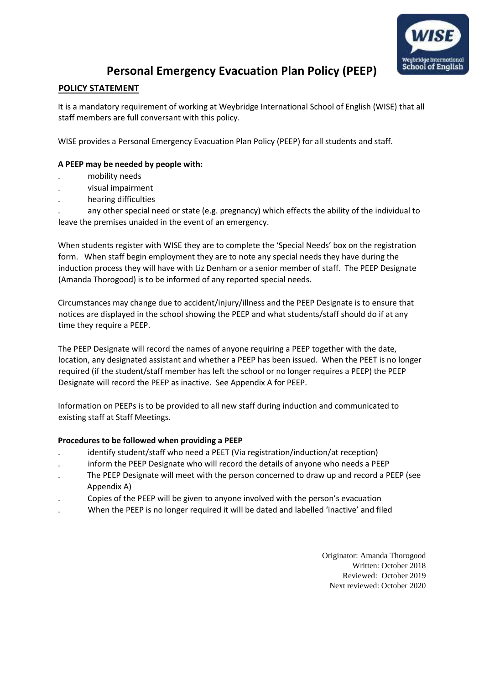

### **Personal Emergency Evacuation Plan Policy (PEEP)**

### **POLICY STATEMENT**

It is a mandatory requirement of working at Weybridge International School of English (WISE) that all staff members are full conversant with this policy.

WISE provides a Personal Emergency Evacuation Plan Policy (PEEP) for all students and staff.

#### **A PEEP may be needed by people with:**

- . mobility needs
- . visual impairment
- . hearing difficulties

. any other special need or state (e.g. pregnancy) which effects the ability of the individual to leave the premises unaided in the event of an emergency.

When students register with WISE they are to complete the 'Special Needs' box on the registration form. When staff begin employment they are to note any special needs they have during the induction process they will have with Liz Denham or a senior member of staff. The PEEP Designate (Amanda Thorogood) is to be informed of any reported special needs.

Circumstances may change due to accident/injury/illness and the PEEP Designate is to ensure that notices are displayed in the school showing the PEEP and what students/staff should do if at any time they require a PEEP.

The PEEP Designate will record the names of anyone requiring a PEEP together with the date, location, any designated assistant and whether a PEEP has been issued. When the PEET is no longer required (if the student/staff member has left the school or no longer requires a PEEP) the PEEP Designate will record the PEEP as inactive. See Appendix A for PEEP.

Information on PEEPs is to be provided to all new staff during induction and communicated to existing staff at Staff Meetings.

#### **Procedures to be followed when providing a PEEP**

- identify student/staff who need a PEET (Via registration/induction/at reception)
- . inform the PEEP Designate who will record the details of anyone who needs a PEEP
- . The PEEP Designate will meet with the person concerned to draw up and record a PEEP (see Appendix A)
- . Copies of the PEEP will be given to anyone involved with the person's evacuation
- . When the PEEP is no longer required it will be dated and labelled 'inactive' and filed

Originator: Amanda Thorogood Written: October 2018 Reviewed: October 2019 Next reviewed: October 2020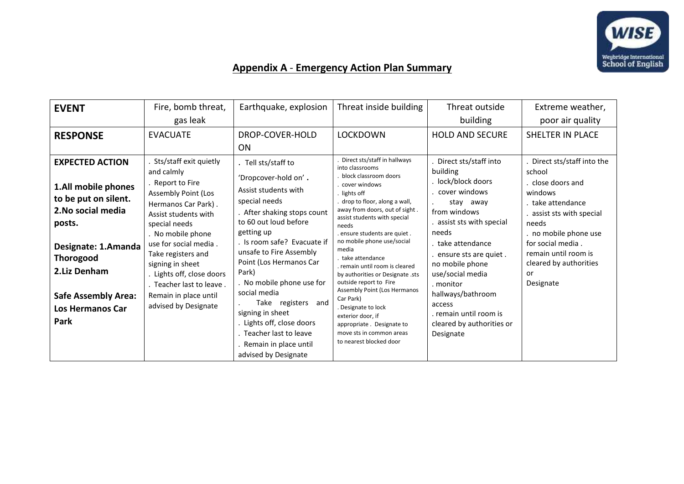

## **Appendix A** - **Emergency Action Plan Summary**

| <b>EVENT</b>                                                                                                                                                                                                                      | Fire, bomb threat,<br>gas leak                                                                                                                                                                                                                                                                                                                           | Earthquake, explosion                                                                                                                                                                                                                                                                                                                                                                                                                              | Threat inside building                                                                                                                                                                                                                                                                                                                                                                                                                                                                                                                                                                  | Threat outside<br>building                                                                                                                                                                                                                                                                                                                     | Extreme weather,<br>poor air quality                                                                                                                                                                                                        |
|-----------------------------------------------------------------------------------------------------------------------------------------------------------------------------------------------------------------------------------|----------------------------------------------------------------------------------------------------------------------------------------------------------------------------------------------------------------------------------------------------------------------------------------------------------------------------------------------------------|----------------------------------------------------------------------------------------------------------------------------------------------------------------------------------------------------------------------------------------------------------------------------------------------------------------------------------------------------------------------------------------------------------------------------------------------------|-----------------------------------------------------------------------------------------------------------------------------------------------------------------------------------------------------------------------------------------------------------------------------------------------------------------------------------------------------------------------------------------------------------------------------------------------------------------------------------------------------------------------------------------------------------------------------------------|------------------------------------------------------------------------------------------------------------------------------------------------------------------------------------------------------------------------------------------------------------------------------------------------------------------------------------------------|---------------------------------------------------------------------------------------------------------------------------------------------------------------------------------------------------------------------------------------------|
| <b>RESPONSE</b>                                                                                                                                                                                                                   | <b>EVACUATE</b>                                                                                                                                                                                                                                                                                                                                          | DROP-COVER-HOLD<br><b>ON</b>                                                                                                                                                                                                                                                                                                                                                                                                                       | <b>LOCKDOWN</b>                                                                                                                                                                                                                                                                                                                                                                                                                                                                                                                                                                         | <b>HOLD AND SECURE</b>                                                                                                                                                                                                                                                                                                                         | SHELTER IN PLACE                                                                                                                                                                                                                            |
| <b>EXPECTED ACTION</b><br>1.All mobile phones<br>to be put on silent.<br>2. No social media<br>posts.<br>Designate: 1.Amanda<br><b>Thorogood</b><br>2.Liz Denham<br><b>Safe Assembly Area:</b><br><b>Los Hermanos Car</b><br>Park | Sts/staff exit quietly<br>and calmly<br>. Report to Fire<br><b>Assembly Point (Los</b><br>Hermanos Car Park).<br>Assist students with<br>special needs<br>. No mobile phone<br>use for social media.<br>Take registers and<br>signing in sheet<br>. Lights off, close doors<br>. Teacher last to leave.<br>Remain in place until<br>advised by Designate | . Tell sts/staff to<br>'Dropcover-hold on'.<br>Assist students with<br>special needs<br>After shaking stops count<br>to 60 out loud before<br>getting up<br>. Is room safe? Evacuate if<br>unsafe to Fire Assembly<br>Point (Los Hermanos Car<br>Park)<br>. No mobile phone use for<br>social media<br>Take registers and<br>signing in sheet<br>Lights off, close doors<br>Teacher last to leave<br>Remain in place until<br>advised by Designate | Direct sts/staff in hallways<br>into classrooms<br>block classroom doors<br>cover windows<br>lights off<br>drop to floor, along a wall,<br>away from doors, out of sight.<br>assist students with special<br>needs<br>. ensure students are quiet.<br>no mobile phone use/social<br>media<br>take attendance<br>remain until room is cleared<br>by authorities or Designate .sts<br>outside report to Fire<br>Assembly Point (Los Hermanos<br>Car Park)<br>. Designate to lock<br>exterior door, if<br>appropriate. Designate to<br>move sts in common areas<br>to nearest blocked door | Direct sts/staff into<br>building<br>lock/block doors<br>. cover windows<br>stay away<br>from windows<br>assist sts with special<br>needs<br>. take attendance<br>ensure sts are quiet.<br>no mobile phone<br>use/social media<br>. monitor<br>hallways/bathroom<br>access<br>. remain until room is<br>cleared by authorities or<br>Designate | Direct sts/staff into the<br>school<br>close doors and<br>windows<br>. take attendance<br>assist sts with special<br>needs<br>no mobile phone use<br>for social media.<br>remain until room is<br>cleared by authorities<br>or<br>Designate |